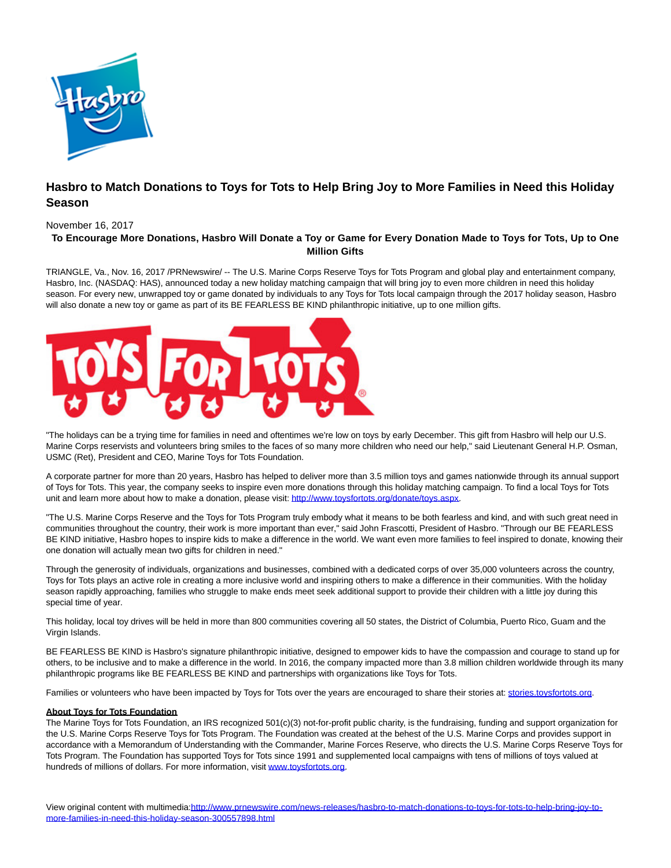

# **Hasbro to Match Donations to Toys for Tots to Help Bring Joy to More Families in Need this Holiday Season**

### November 16, 2017

## **To Encourage More Donations, Hasbro Will Donate a Toy or Game for Every Donation Made to Toys for Tots, Up to One Million Gifts**

TRIANGLE, Va., Nov. 16, 2017 /PRNewswire/ -- The U.S. Marine Corps Reserve Toys for Tots Program and global play and entertainment company, Hasbro, Inc. (NASDAQ: HAS), announced today a new holiday matching campaign that will bring joy to even more children in need this holiday season. For every new, unwrapped toy or game donated by individuals to any Toys for Tots local campaign through the 2017 holiday season, Hasbro will also donate a new toy or game as part of its BE FEARLESS BE KIND philanthropic initiative, up to one million gifts.



"The holidays can be a trying time for families in need and oftentimes we're low on toys by early December. This gift from Hasbro will help our U.S. Marine Corps reservists and volunteers bring smiles to the faces of so many more children who need our help," said Lieutenant General H.P. Osman, USMC (Ret), President and CEO, Marine Toys for Tots Foundation.

A corporate partner for more than 20 years, Hasbro has helped to deliver more than 3.5 million toys and games nationwide through its annual support of Toys for Tots. This year, the company seeks to inspire even more donations through this holiday matching campaign. To find a local Toys for Tots unit and learn more about how to make a donation, please visit[: http://www.toysfortots.org/donate/toys.aspx.](http://www.toysfortots.org/donate/toys.aspx)

"The U.S. Marine Corps Reserve and the Toys for Tots Program truly embody what it means to be both fearless and kind, and with such great need in communities throughout the country, their work is more important than ever," said John Frascotti, President of Hasbro. "Through our BE FEARLESS BE KIND initiative, Hasbro hopes to inspire kids to make a difference in the world. We want even more families to feel inspired to donate, knowing their one donation will actually mean two gifts for children in need."

Through the generosity of individuals, organizations and businesses, combined with a dedicated corps of over 35,000 volunteers across the country, Toys for Tots plays an active role in creating a more inclusive world and inspiring others to make a difference in their communities. With the holiday season rapidly approaching, families who struggle to make ends meet seek additional support to provide their children with a little joy during this special time of year.

This holiday, local toy drives will be held in more than 800 communities covering all 50 states, the District of Columbia, Puerto Rico, Guam and the Virgin Islands.

BE FEARLESS BE KIND is Hasbro's signature philanthropic initiative, designed to empower kids to have the compassion and courage to stand up for others, to be inclusive and to make a difference in the world. In 2016, the company impacted more than 3.8 million children worldwide through its many philanthropic programs like BE FEARLESS BE KIND and partnerships with organizations like Toys for Tots.

Families or volunteers who have been impacted by Toys for Tots over the years are encouraged to share their stories at: stories.toysfortots.org.

#### **About Toys for Tots Foundation**

The Marine Toys for Tots Foundation, an IRS recognized 501(c)(3) not-for-profit public charity, is the fundraising, funding and support organization for the U.S. Marine Corps Reserve Toys for Tots Program. The Foundation was created at the behest of the U.S. Marine Corps and provides support in accordance with a Memorandum of Understanding with the Commander, Marine Forces Reserve, who directs the U.S. Marine Corps Reserve Toys for Tots Program. The Foundation has supported Toys for Tots since 1991 and supplemented local campaigns with tens of millions of toys valued at hundreds of millions of dollars. For more information, visit [www.toysfortots.org.](http://www.toysfortots.org/)